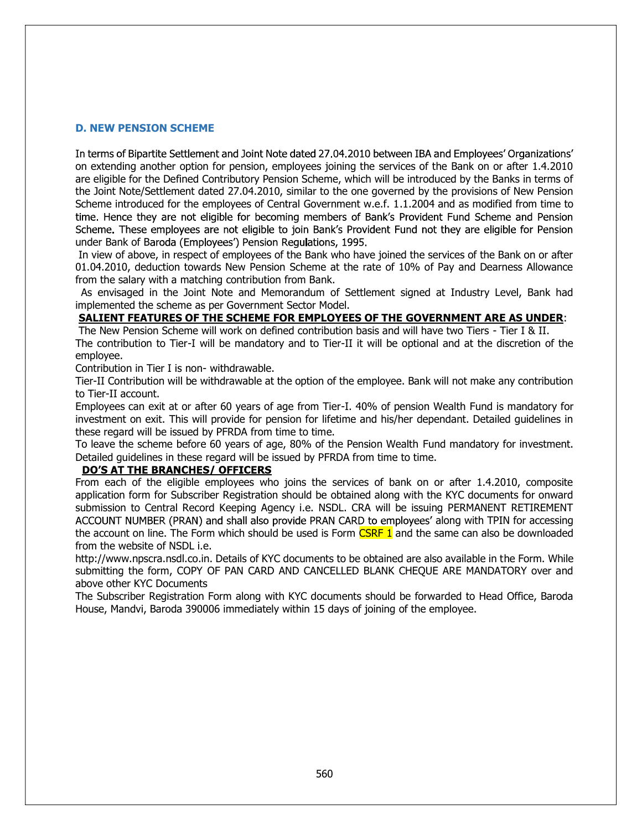### D. NEW PENSION SCHEME

In terms of Bipartite Settlement and Joint Note dated 27.04.2010 between IBA and Employees' Organizations' on extending another option for pension, employees joining the services of the Bank on or after 1.4.2010 are eligible for the Defined Contributory Pension Scheme, which will be introduced by the Banks in terms of the Joint Note/Settlement dated 27.04.2010, similar to the one governed by the provisions of New Pension Scheme introduced for the employees of Central Government w.e.f. 1.1.2004 and as modified from time to time. Hence they are not eligible for becoming members of Bank's Provident Fund Scheme and Pension Scheme. These employees are not eligible to join Bank's Provident Fund not they are eligible for Pension under Bank of Baroda (Employees') Pension Regulations, 1995.

 In view of above, in respect of employees of the Bank who have joined the services of the Bank on or after 01.04.2010, deduction towards New Pension Scheme at the rate of 10% of Pay and Dearness Allowance from the salary with a matching contribution from Bank.

 As envisaged in the Joint Note and Memorandum of Settlement signed at Industry Level, Bank had implemented the scheme as per Government Sector Model.

## SALIENT FEATURES OF THE SCHEME FOR EMPLOYEES OF THE GOVERNMENT ARE AS UNDER:

 The New Pension Scheme will work on defined contribution basis and will have two Tiers - Tier I & II. The contribution to Tier-I will be mandatory and to Tier-II it will be optional and at the discretion of the employee.

Contribution in Tier I is non- withdrawable.

Tier-II Contribution will be withdrawable at the option of the employee. Bank will not make any contribution to Tier-II account.

Employees can exit at or after 60 years of age from Tier-I. 40% of pension Wealth Fund is mandatory for investment on exit. This will provide for pension for lifetime and his/her dependant. Detailed guidelines in these regard will be issued by PFRDA from time to time.

To leave the scheme before 60 years of age, 80% of the Pension Wealth Fund mandatory for investment. Detailed guidelines in these regard will be issued by PFRDA from time to time.

**DO'S AT THE BRANCHES/ OFFICERS**<br>From each of the eligible employees who joins the services of bank on or after 1.4.2010, composite application form for Subscriber Registration should be obtained along with the KYC documents for onward submission to Central Record Keeping Agency i.e. NSDL. CRA will be issuing PERMANENT RETIREMENT ACCOUNT NUMBER (PRAN) and shall also provide PRAN CARD to employees' along with TPIN for accessing the account on line. The Form which should be used is Form CSRF 1 and the same can also be downloaded from the website of NSDL i.e.

http://www.npscra.nsdl.co.in. Details of KYC documents to be obtained are also available in the Form. While submitting the form, COPY OF PAN CARD AND CANCELLED BLANK CHEQUE ARE MANDATORY over and above other KYC Documents

The Subscriber Registration Form along with KYC documents should be forwarded to Head Office, Baroda House, Mandvi, Baroda 390006 immediately within 15 days of joining of the employee.